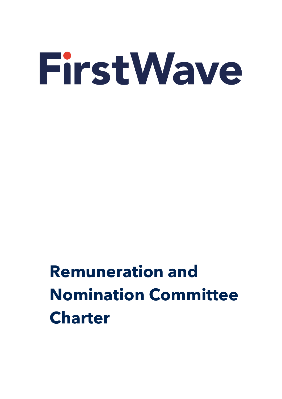# **Remuneration and Nomination Committee Charter**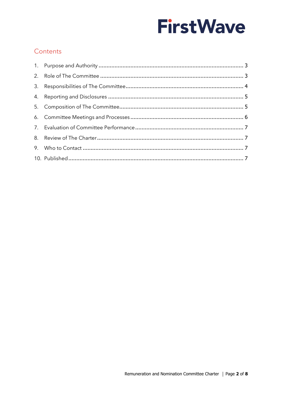# Contents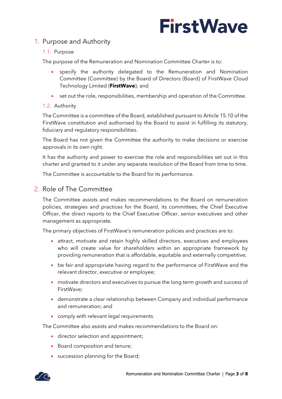# <span id="page-2-0"></span>1. Purpose and Authority

#### 1.1. Purpose

The purpose of the Remuneration and Nomination Committee Charter is to:

- specify the authority delegated to the Remuneration and Nomination Committee (Committee) by the Board of Directors (Board) of FirstWave Cloud Technology Limited (**FirstWave**); and
- set out the role, responsibilities, membership and operation of the Committee.

#### 1.2. Authority

The Committee is a committee of the Board, established pursuant to Article 15.10 of the FirstWave constitution and authorised by the Board to assist in fulfilling its statutory, fiduciary and regulatory responsibilities.

The Board has not given the Committee the authority to make decisions or exercise approvals in its own right.

It has the authority and power to exercise the role and responsibilities set out in this charter and granted to it under any separate resolution of the Board from time to time.

The Committee is accountable to the Board for its performance.

### <span id="page-2-1"></span>2. Role of The Committee

The Committee assists and makes recommendations to the Board on remuneration policies, strategies and practices for the Board, its committees, the Chief Executive Officer, the direct reports to the Chief Executive Officer, senior executives and other management as appropriate.

The primary objectives of FirstWave's remuneration policies and practices are to:

- attract, motivate and retain highly skilled directors, executives and employees who will create value for shareholders within an appropriate framework by providing remuneration that is affordable, equitable and externally competitive;
- be fair and appropriate having regard to the performance of FirstWave and the relevant director, executive or employee;
- motivate directors and executives to pursue the long term growth and success of FirstWave;
- demonstrate a clear relationship between Company and individual performance and remuneration; and
- comply with relevant legal requirements.

The Committee also assists and makes recommendations to the Board on:

- director selection and appointment;
- Board composition and tenure;
- succession planning for the Board;

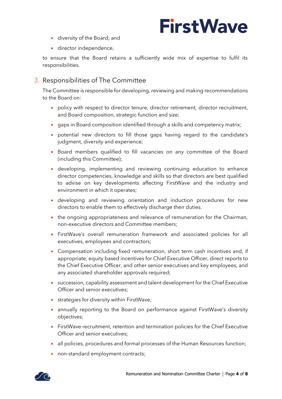- diversity of the Board; and
- director independence,

to ensure that the Board retains a sufficiently wide mix of expertise to fulfil its responsibilities.

# <span id="page-3-0"></span>3. Responsibilities of The Committee

The Committee is responsible for developing, reviewing and making recommendations to the Board on:

- policy with respect to director tenure, director retirement, director recruitment, and Board composition, strategic function and size;
- gaps in Board composition identified through a skills and competency matrix;
- potential new directors to fill those gaps having regard to the candidate's judgment, diversity and experience;
- Board members qualified to fill vacancies on any committee of the Board (including this Committee);
- developing, implementing and reviewing continuing education to enhance director competencies, knowledge and skills so that directors are best qualified to advise on key developments affecting FirstWave and the industry and environment in which it operates;
- developing and reviewing orientation and induction procedures for new directors to enable them to effectively discharge their duties.
- the ongoing appropriateness and relevance of remuneration for the Chairman, non-executive directors and Committee members;
- FirstWave's overall remuneration framework and associated policies for all executives, employees and contractors;
- Compensation including fixed remuneration, short term cash incentives and, if appropriate, equity based incentives for Chief Executive Officer, direct reports to the Chief Executive Officer, and other senior executives and key employees, and any associated shareholder approvals required;
- succession, capability assessment and talent development for the Chief Executive Officer and senior executives;
- strategies for diversity within FirstWave;
- annually reporting to the Board on performance against FirstWave's diversity objectives;
- FirstWave recruitment, retention and termination policies for the Chief Executive Officer and senior executives;
- all policies, procedures and formal processes of the Human Resources function;
- non-standard employment contracts;

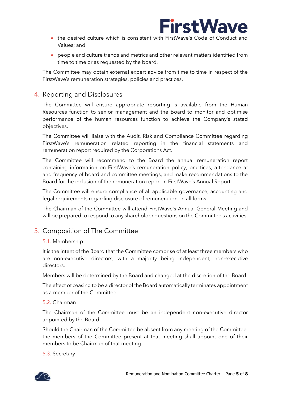

- the desired culture which is consistent with FirstWave's Code of Conduct and Values; and
- people and culture trends and metrics and other relevant matters identified from time to time or as requested by the board.

The Committee may obtain external expert advice from time to time in respect of the FirstWave's remuneration strategies, policies and practices.

# <span id="page-4-0"></span>4. Reporting and Disclosures

The Committee will ensure appropriate reporting is available from the Human Resources function to senior management and the Board to monitor and optimise performance of the human resources function to achieve the Company's stated objectives.

The Committee will liaise with the Audit, Risk and Compliance Committee regarding FirstWave's remuneration related reporting in the financial statements and remuneration report required by the Corporations Act.

The Committee will recommend to the Board the annual remuneration report containing information on FirstWave's remuneration policy, practices, attendance at and frequency of board and committee meetings, and make recommendations to the Board for the inclusion of the remuneration report in FirstWave's Annual Report.

The Committee will ensure compliance of all applicable governance, accounting and legal requirements regarding disclosure of remuneration, in all forms.

The Chairman of the Committee will attend FirstWave's Annual General Meeting and will be prepared to respond to any shareholder questions on the Committee's activities.

### <span id="page-4-1"></span>5. Composition of The Committee

#### 5.1. Membership

It is the intent of the Board that the Committee comprise of at least three members who are non-executive directors, with a majority being independent, non-executive directors.

Members will be determined by the Board and changed at the discretion of the Board.

The effect of ceasing to be a director of the Board automatically terminates appointment as a member of the Committee.

#### 5.2. Chairman

The Chairman of the Committee must be an independent non-executive director appointed by the Board.

Should the Chairman of the Committee be absent from any meeting of the Committee, the members of the Committee present at that meeting shall appoint one of their members to be Chairman of that meeting.

5.3. Secretary

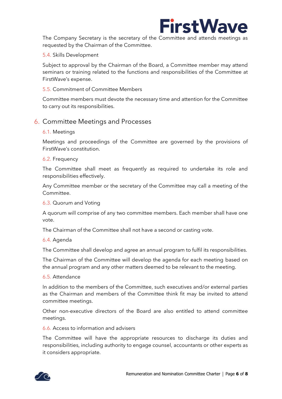

The Company Secretary is the secretary of the Committee and attends meetings as requested by the Chairman of the Committee.

#### 5.4. Skills Development

Subject to approval by the Chairman of the Board, a Committee member may attend seminars or training related to the functions and responsibilities of the Committee at FirstWave's expense.

#### 5.5. Commitment of Committee Members

Committee members must devote the necessary time and attention for the Committee to carry out its responsibilities.

#### <span id="page-5-0"></span>6. Committee Meetings and Processes

#### 6.1. Meetings

Meetings and proceedings of the Committee are governed by the provisions of FirstWave's constitution.

#### 6.2. Frequency

The Committee shall meet as frequently as required to undertake its role and responsibilities effectively.

Any Committee member or the secretary of the Committee may call a meeting of the Committee.

#### 6.3. Quorum and Voting

A quorum will comprise of any two committee members. Each member shall have one vote.

The Chairman of the Committee shall not have a second or casting vote.

#### 6.4. Agenda

The Committee shall develop and agree an annual program to fulfil its responsibilities.

The Chairman of the Committee will develop the agenda for each meeting based on the annual program and any other matters deemed to be relevant to the meeting.

6.5. Attendance

In addition to the members of the Committee, such executives and/or external parties as the Chairman and members of the Committee think fit may be invited to attend committee meetings.

Other non-executive directors of the Board are also entitled to attend committee meetings.

6.6. Access to information and advisers

The Committee will have the appropriate resources to discharge its duties and responsibilities, including authority to engage counsel, accountants or other experts as it considers appropriate.

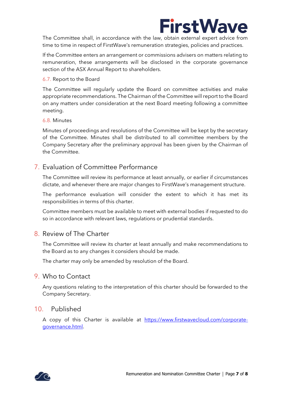

The Committee shall, in accordance with the law, obtain external expert advice from time to time in respect of FirstWave's remuneration strategies, policies and practices.

If the Committee enters an arrangement or commissions advisers on matters relating to remuneration, these arrangements will be disclosed in the corporate governance section of the ASX Annual Report to shareholders.

#### 6.7. Report to the Board

The Committee will regularly update the Board on committee activities and make appropriate recommendations. The Chairman of the Committee will report to the Board on any matters under consideration at the next Board meeting following a committee meeting.

#### 6.8. Minutes

Minutes of proceedings and resolutions of the Committee will be kept by the secretary of the Committee. Minutes shall be distributed to all committee members by the Company Secretary after the preliminary approval has been given by the Chairman of the Committee.

### <span id="page-6-0"></span>7. Evaluation of Committee Performance

The Committee will review its performance at least annually, or earlier if circumstances dictate, and whenever there are major changes to FirstWave's management structure.

The performance evaluation will consider the extent to which it has met its responsibilities in terms of this charter.

Committee members must be available to meet with external bodies if requested to do so in accordance with relevant laws, regulations or prudential standards.

### <span id="page-6-1"></span>8. Review of The Charter

The Committee will review its charter at least annually and make recommendations to the Board as to any changes it considers should be made.

The charter may only be amended by resolution of the Board.

#### <span id="page-6-2"></span>9. Who to Contact

Any questions relating to the interpretation of this charter should be forwarded to the Company Secretary.

### <span id="page-6-3"></span>10. Published

A copy of this Charter is available at [https://www.firstwavecloud.com/corporate](https://www.firstwavecloud.com/corporate-governance.html)[governance.html.](https://www.firstwavecloud.com/corporate-governance.html)